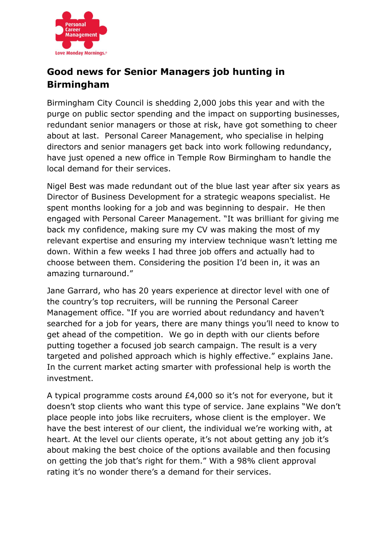

## **Good news for Senior Managers job hunting in Birmingham**

Birmingham City Council is shedding 2,000 jobs this year and with the purge on public sector spending and the impact on supporting businesses, redundant senior managers or those at risk, have got something to cheer about at last. Personal Career Management, who specialise in helping directors and senior managers get back into work following redundancy, have just opened a new office in Temple Row Birmingham to handle the local demand for their services.

Nigel Best was made redundant out of the blue last year after six years as Director of Business Development for a strategic weapons specialist. He spent months looking for a job and was beginning to despair. He then engaged with Personal Career Management. "It was brilliant for giving me back my confidence, making sure my CV was making the most of my relevant expertise and ensuring my interview technique wasn't letting me down. Within a few weeks I had three job offers and actually had to choose between them. Considering the position I'd been in, it was an amazing turnaround."

Jane Garrard, who has 20 years experience at director level with one of the country's top recruiters, will be running the Personal Career Management office. "If you are worried about redundancy and haven't searched for a job for years, there are many things you'll need to know to get ahead of the competition. We go in depth with our clients before putting together a focused job search campaign. The result is a very targeted and polished approach which is highly effective." explains Jane. In the current market acting smarter with professional help is worth the investment.

A typical programme costs around £4,000 so it's not for everyone, but it doesn't stop clients who want this type of service. Jane explains "We don't place people into jobs like recruiters, whose client is the employer. We have the best interest of our client, the individual we're working with, at heart. At the level our clients operate, it's not about getting any job it's about making the best choice of the options available and then focusing on getting the job that's right for them." With a 98% client approval rating it's no wonder there's a demand for their services.